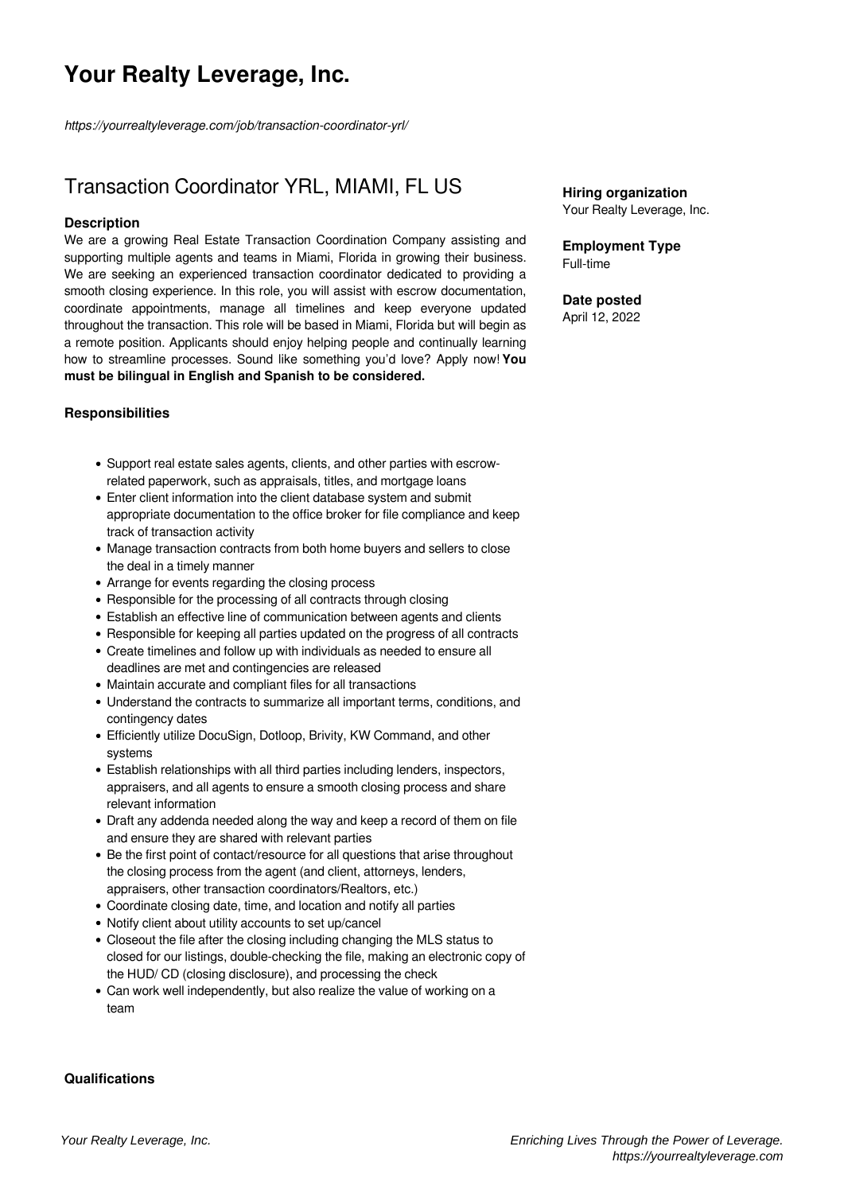# **Your Realty Leverage, Inc.**

*https://yourrealtyleverage.com/job/transaction-coordinator-yrl/*

# Transaction Coordinator YRL, MIAMI, FL US

## **Description**

We are a growing Real Estate Transaction Coordination Company assisting and supporting multiple agents and teams in Miami, Florida in growing their business. We are seeking an experienced transaction coordinator dedicated to providing a smooth closing experience. In this role, you will assist with escrow documentation, coordinate appointments, manage all timelines and keep everyone updated throughout the transaction. This role will be based in Miami, Florida but will begin as a remote position. Applicants should enjoy helping people and continually learning how to streamline processes. Sound like something you'd love? Apply now!**You must be bilingual in English and Spanish to be considered.**

# **Responsibilities**

- Support real estate sales agents, clients, and other parties with escrowrelated paperwork, such as appraisals, titles, and mortgage loans
- Enter client information into the client database system and submit appropriate documentation to the office broker for file compliance and keep track of transaction activity
- Manage transaction contracts from both home buyers and sellers to close the deal in a timely manner
- Arrange for events regarding the closing process
- Responsible for the processing of all contracts through closing
- Establish an effective line of communication between agents and clients
- Responsible for keeping all parties updated on the progress of all contracts
- Create timelines and follow up with individuals as needed to ensure all deadlines are met and contingencies are released
- Maintain accurate and compliant files for all transactions
- Understand the contracts to summarize all important terms, conditions, and contingency dates
- Efficiently utilize DocuSign, Dotloop, Brivity, KW Command, and other systems
- Establish relationships with all third parties including lenders, inspectors, appraisers, and all agents to ensure a smooth closing process and share relevant information
- Draft any addenda needed along the way and keep a record of them on file and ensure they are shared with relevant parties
- Be the first point of contact/resource for all questions that arise throughout the closing process from the agent (and client, attorneys, lenders, appraisers, other transaction coordinators/Realtors, etc.)
- Coordinate closing date, time, and location and notify all parties
- Notify client about utility accounts to set up/cancel
- Closeout the file after the closing including changing the MLS status to closed for our listings, double-checking the file, making an electronic copy of the HUD/ CD (closing disclosure), and processing the check
- Can work well independently, but also realize the value of working on a team

### **Qualifications**

**Employment Type** Full-time

### **Date posted**

April 12, 2022